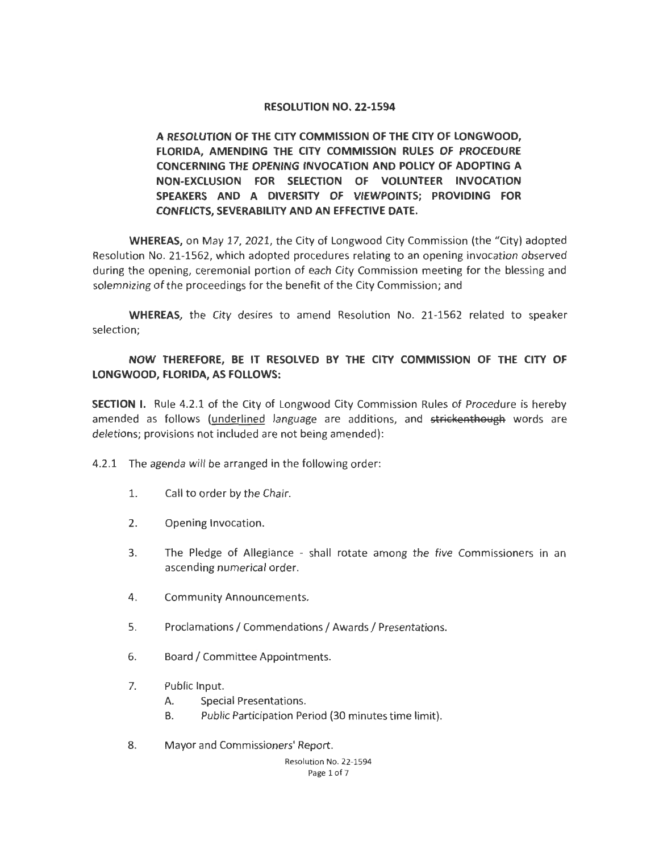## **RESOLUTION NO. 22-1594**

**A RESOLUTION OF THE CITY COMMISSION OF THE CITY OF LONGWOOD, FLORIDA, AMENDING THE CITY COMMISSION RULES OF PROCEDURE CONCERNING THE OPENING INVOCATION AND POLICY OF ADOPTING A NON-EXCLUSION FOR SELECTION OF VOLUNTEER INVOCATION SPEAKERS AND A DIVERSITY OF VIEWPOINTS; PROVIDING FOR CONFLICTS, SEVERABILITY AND AN EFFECTIVE DATE.** 

**WHEREAS,** on May 17, 2021, the City of Longwood City Commission (the "City) adopted Resolution No. 21-1562, which adopted procedures relating to an opening invocation observed during the opening, ceremonial portion of each City Commission meeting for the blessing and solemnizing of the proceedings for the benefit of the City Commission; and

**WHEREAS,** the City desires to amend Resolution No. 21-1562 related to speaker selection;

## **NOW THEREFORE, BE IT RESOLVED BY THE CITY COMMISSION OF THE CITY OF LONGWOOD, FLORIDA, AS FOLLOWS:**

**SECTION** I. Rule 4.2.1 of the City of Longwood City Commission Rules of Procedure is hereby amended as follows (underlined language are additions, and strickenthough words are deletions; provisions not included are not being amended):

4.2.1 The agenda will be arranged in the following order:

- 1. Call to order by the Chair.
- 2. Opening Invocation.
- 3. The Pledge of Allegiance shall rotate among the five Commissioners in an ascending numerical order.
- 4. Community Announcements.
- 5. Proclamations/ Commendations/ Awards/ Presentations.
- 6. Board/ Committee Appointments.
- 7. Public Input.
	- A. Special Presentations.
	- B. Public Participation Period (30 minutes time limit).
- 8. Mayor and Commissioners' Report.

Resolution No. 22-1594 Page 1 of 7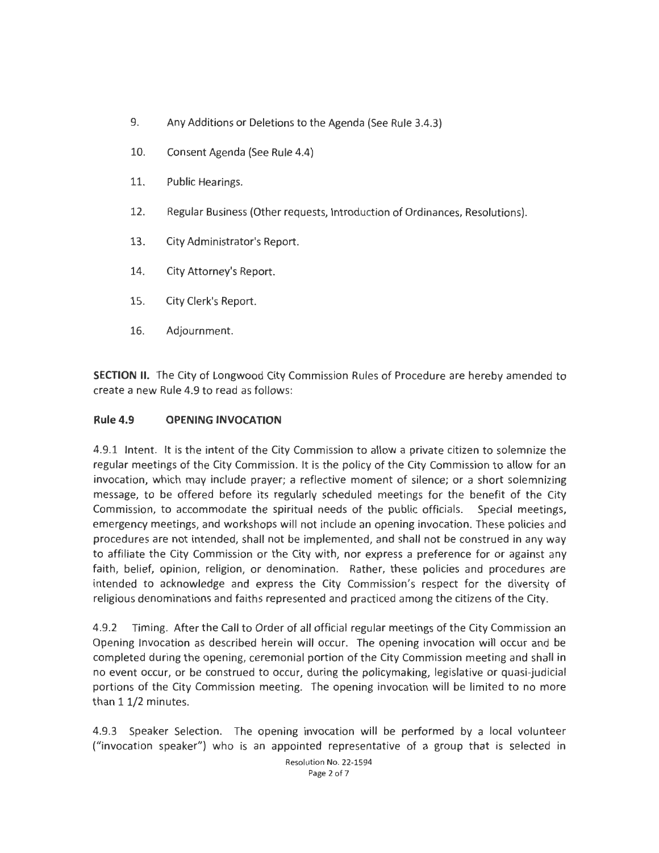- 9. Any Additions or Deletions to the Agenda (See Rule 3.4.3)
- 10. Consent Agenda (See Rule 4.4)
- 11. Public Hearings.
- 12. Regular Business (Other requests, Introduction of Ordinances, Resolutions).
- 13. City Administrator's Report.
- 14. City Attorney's Report.
- 15. City Clerk's Report.
- 16. Adjournment.

**SECTION** II. The City of Longwood City Commission Rules of Procedure are hereby amended to create a new Rule 4.9 to read as follows:

## **Rule 4.9 OPENING INVOCATION**

4.9.1 Intent. It is the intent of the City Commission to allow a private citizen to solemnize the regular meetings of the City Commission. It is the policy of the City Commission to allow for an invocation, which may include prayer; a reflective moment of silence; or a short solemnizing message, to be offered before its regularly scheduled meetings for the benefit of the City Commission, to accommodate the spiritual needs of the public officials. Special meetings, emergency meetings, and workshops will not include an opening invocation. These policies and procedures are not intended, shall not be implemented, and shall not be construed in any way to affiliate the City Commission or the City with, nor express a preference for or against any faith, belief, opinion, religion, or denomination. Rather, these policies and procedures are intended to acknowledge and express the City Commission's respect for the diversity of religious denominations and faiths represented and practiced among the citizens of the City.

4.9.2 Timing. After the Call to Order of all official regular meetings of the City Commission an Opening Invocation as described herein will occur. The opening invocation will occur and be completed during the opening, ceremonial portion of the City Commission meeting and shall in no event occur, or be construed to occur, during the policymaking, legislative or quasi-judicial portions of the City Commission meeting. The opening invocation will be limited to no more than 11/2 minutes.

4.9.3 Speaker Selection. The opening invocation will be performed by a local volunteer ("invocation speaker") who is an appointed representative of a group that is selected in

> Resolution No. 22-1594 Page 2 of 7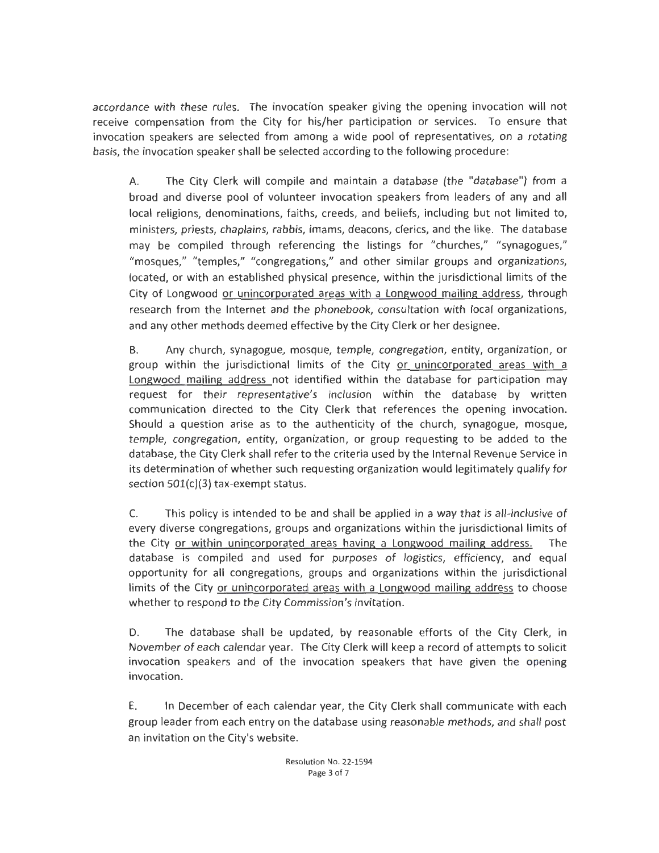accordance with these rules. The invocation speaker giving the opening invocation will not receive compensation from the City for his/her participation or services. To ensure that invocation speakers are selected from among a wide pool of representatives, on a rotating basis, the invocation speaker shall be selected according to the following procedure:

A. The City Clerk will compile and maintain a database (the "database") from a broad and diverse pool of volunteer invocation speakers from leaders of any and all local religions, denominations, faiths, creeds, and beliefs, including but not limited to, ministers, priests, chaplains, rabbis, imams, deacons, clerics, and the like. The database may be compiled through referencing the listings for "churches," " synagogues," "mosques," "temples," "congregations," and other similar groups and organizations, located, or with an established physical presence, within the jurisdictional limits of the City of Longwood <u>or unincorporated areas with a Longwood mailing address</u>, through research from the Internet and the phonebook, consultation with local organizations, and any other methods deemed effective by the City Clerk or her designee.

B. Any church, synagogue, mosque, temple, congregation, entity, organization, or group within the jurisdictional limits of the City or unincorporated areas with a Longwood mailing address not identified within the database for participation may request for their representative's inclusion within the database by written communication directed to the City Clerk that references the opening invocation. Should a question arise as to the authenticity of the church, synagogue, mosque, temple, congregation, entity, organization, or group requesting to be added to the database, the City Clerk shall refer to the criteria used by the Internal Revenue Service in its determination of whether such requesting organization would legitimately qualify for section 501(c)(3) tax-exempt status.

C. This policy is intended to be and shall be applied in a way that is all-inclusive of every diverse congregations, groups and organizations within the jurisdictional limits of the City or within unincorporated areas having a Longwood mailing address. The database is compiled and used for purposes of logistics, efficiency, and equal opportunity for all congregations, groups and organizations within the jurisdictional limits of the City or unincorporated areas with a Longwood mailing address to choose whether to respond to the City Commission's invitation.

D. The database shall be updated, by reasonable efforts of the City Clerk, in November of each calendar year. The City Clerk will keep a record of attempts to solicit invocation speakers and of the invocation speakers that have given the opening invocation.

E. In December of each calendar year, the City Clerk shall communicate with each group leader from each entry on the database using reasonable methods, and shall post an invitation on the City's website.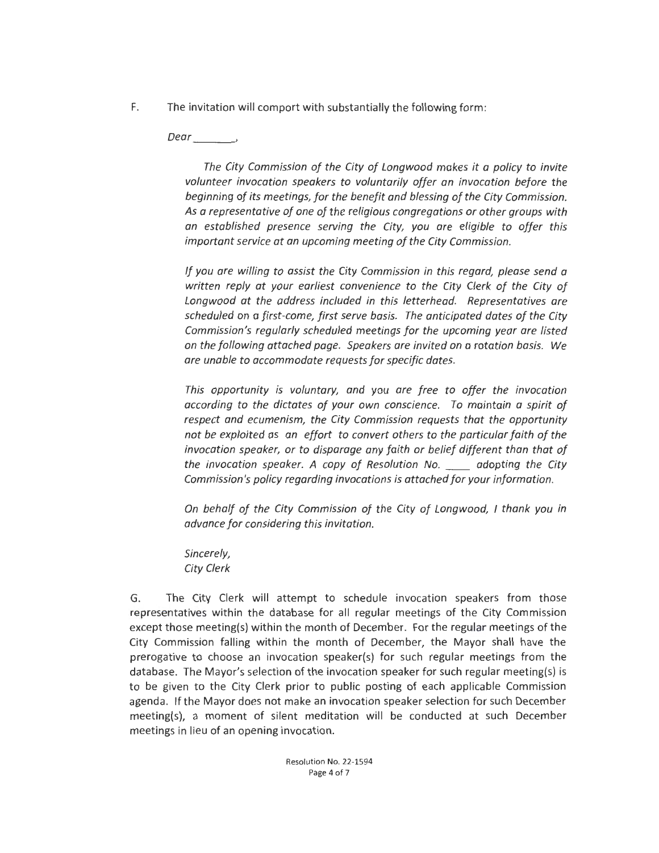F. The invitation will comport with substantially the following form :

*Dear\_\_\_*<sup>~</sup>

*The City Commission of the City of Longwood makes it a policy to invite volunteer invocation speakers to voluntarily offer an invocation before the beginning of its meetings, for the benefit and blessing of the City Commission. As a representative of one of the religious congregations or other groups with an established presence serving the City, you are eligible to offer this important service at an upcoming meeting of the City Commission.* 

*If you are willing to assist the City Commission in this regard, please send a written reply at your earliest convenience to the City Clerk of the City of Longwood at the address included in this letterhead. Representatives are scheduled on a first-come, first serve basis. The anticipated dates of the City Commission's regularly scheduled meetings for the upcoming year are listed on the following attached page. Speakers are invited on a rotation basis. We are unable to accommodate requests for specific dates.* 

*This opportunity is voluntary, and you are free to offer the invocation according to the dictates of your own conscience. To maintain a spirit of respect and ecumenism, the City Commission requests that the opportunity not be exploited as an effort to convert others to the particular faith of the invocation speaker, or to disparage any faith or belief different than that of the invocation speaker. A copy of Resolution No.* \_\_ *adopting the City Commission's policy regarding invocations is attached for your information.* 

*On behalf of the City Commission of the City of Longwood, I thank you in advance for considering this invitation.* 

*Sincerely, City Clerk* 

G. The City Clerk will attempt to schedule invocation speakers from those representatives within the database for all regular meetings of the City Commission except those meeting{s) within the month of December. For the regular meetings of the City Commission falling within the month of December, the Mayor shall have the prerogative to choose an invocation speaker{s) for such regular meetings from the database. The Mayor's selection of the invocation speaker for such regular meeting{s) is to be given to the City Clerk prior to public posting of each applicable Commission agenda. If the Mayor does not make an invocation speaker selection for such December meeting{s), a moment of silent meditation will be conducted at such December meetings in lieu of an opening invocation.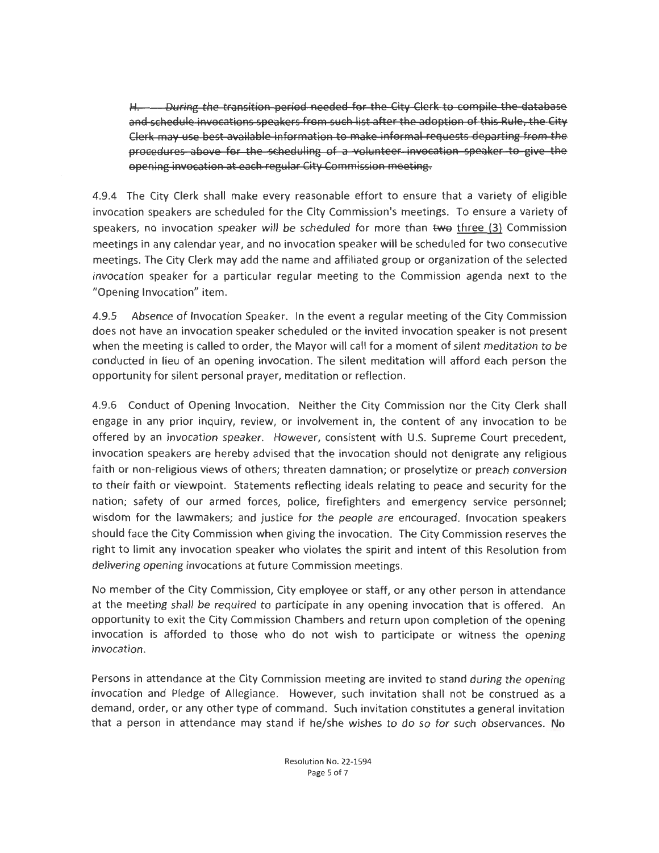H. During the transition period needed for the City Clerk to compile the database and schedule invocations speakers from such list after the adoption of this Rule, the City Clerk may use best available information to make informal requests departing from the procedures above for the scheduling of a volunteer invocation speaker to give the opening invocation at each regular City Commission meeting.

4.9.4 The City Clerk shall make every reasonable effort to ensure that a variety of eligible invocation speakers are scheduled for the City Commission's meetings. To ensure a variety of speakers, no invocation speaker will be scheduled for more than two three  $(3)$  Commission meetings in any calendar year, and no invocation speaker will be scheduled for two consecutive meetings. The City Clerk may add the name and affiliated group or organization of the selected invocation speaker for a particular regular meeting to the Commission agenda next to the "Opening Invocation" item.

4.9.5 Absence of Invocation Speaker. In the event a regular meeting of the City Commission does not have an invocation speaker scheduled or the invited invocation speaker is not present when the meeting is called to order, the Mayor will call for a moment of silent meditation to be conducted in lieu of an opening invocation. The silent meditation will afford each person the opportunity for silent personal prayer, meditation or reflection.

4.9.6 Conduct of Opening Invocation. Neither the City Commission nor the City Clerk shall engage in any prior inquiry, review, or involvement in, the content of any invocation to be offered by an invocation speaker. However, consistent with U.S. Supreme Court precedent, invocation speakers are hereby advised that the invocation should not denigrate any religious faith or non-religious views of others; threaten damnation; or proselytize or preach conversion to their faith or viewpoint. Statements reflecting ideals relating to peace and security for the nation; safety of our armed forces, police, firefighters and emergency service personnel; wisdom for the lawmakers; and justice for the people are encouraged. Invocation speakers should face the City Commission when giving the invocation. The City Commission reserves the right to limit any invocation speaker who violates the spirit and intent of this Resolution from delivering opening invocations at future Commission meetings.

No member of the City Commission, City employee or staff, or any other person in attendance at the meeting shall be required to participate in any opening invocation that is offered. An opportunity to exit the City Commission Chambers and return upon completion of the opening invocation is afforded to those who do not wish to participate or witness the opening invocation.

Persons in attendance at the City Commission meeting are invited to stand during the opening invocation and Pledge of Allegiance. However, such invitation shall not be construed as a demand, order, or any other type of command. Such invitation constitutes a general invitation that a person in attendance may stand if he/she wishes to do so for such observances.  $N_t$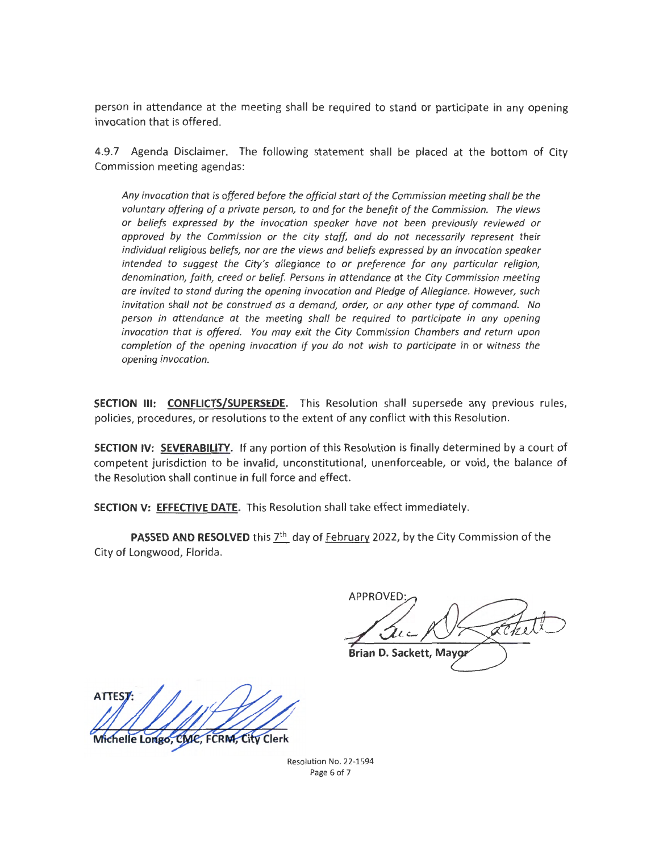person in attendance at the meeting shall be required to stand or participate in any opening invocation that is offered.

4.9.7 Agenda Disclaimer. The following statement shall be placed at the bottom of City Commission meeting agendas:

*Any invocation that is offered before the official start of the Commission meeting shall be the voluntary offering of a private person, to and for the benefit of the Commission. The views or beliefs expressed by the invocation speaker have not been previously reviewed or approved by the Commission or the city staff, and do not necessarily represent their individual religious beliefs, nor are the views and beliefs expressed by an invocation speaker intended to suggest the City's allegiance to or preference for any particular religion, denomination, faith, creed or belief. Persons in attendance at the City Commission meeting are invited to stand during the opening invocation and Pledge of Allegiance. However, such invitation shall not be construed as a demand, order, or any other type of command. No person in attendance at the meeting shall be required to participate in any opening invocation that is offered. You may exit the City Commission Chambers and return upon completion of the opening invocation if you do not wish to participate in or witness the opening invocation.* 

**SECTION Ill: CONFLICTS/SUPERSEDE.** This Resolution shall supersede any previous rules, policies, procedures, or resolutions to the extent of any conflict with this Resolution.

**SECTION IV: SEVERABILITY.** If any portion of this Resolution is finally determined by a court of competent jurisdiction to be invalid, unconstitutional, unenforceable, or void, the balance of the Resolution shall continue in **full** force and effect.

**SECTION V: EFFECTIVE DATE.** This Resolution shall take effect immediately.

**PASSED AND RESOLVED** this 7<sup>th</sup> day of February 2022, by the City Commission of the City of Longwood, Florida.

**APPROVED Brian D. Sackett, Mayor** 

ATTES

Michelle Longo, CMC, FCRM, City Clerk

Resolution No. 22-1594 Page 6 of 7